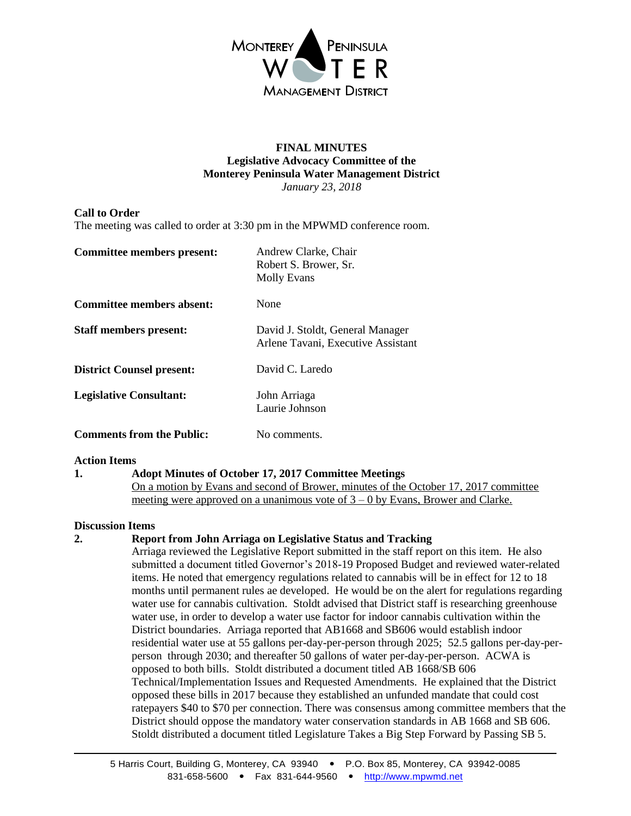

### **FINAL MINUTES Legislative Advocacy Committee of the Monterey Peninsula Water Management District** *January 23, 2018*

## **Call to Order**

The meeting was called to order at 3:30 pm in the MPWMD conference room.

| Committee members present:       | Andrew Clarke, Chair<br>Robert S. Brower, Sr.<br><b>Molly Evans</b>    |
|----------------------------------|------------------------------------------------------------------------|
| Committee members absent:        | None                                                                   |
| <b>Staff members present:</b>    | David J. Stoldt, General Manager<br>Arlene Tavani, Executive Assistant |
| <b>District Counsel present:</b> | David C. Laredo                                                        |
| <b>Legislative Consultant:</b>   | John Arriaga<br>Laurie Johnson                                         |
| <b>Comments from the Public:</b> | No comments.                                                           |

### **Action Items**

### **1. Adopt Minutes of October 17, 2017 Committee Meetings**

On a motion by Evans and second of Brower, minutes of the October 17, 2017 committee meeting were approved on a unanimous vote of 3 – 0 by Evans, Brower and Clarke.

### **Discussion Items**

### **2. Report from John Arriaga on Legislative Status and Tracking**

Arriaga reviewed the Legislative Report submitted in the staff report on this item. He also submitted a document titled Governor's 2018-19 Proposed Budget and reviewed water-related items. He noted that emergency regulations related to cannabis will be in effect for 12 to 18 months until permanent rules ae developed. He would be on the alert for regulations regarding water use for cannabis cultivation. Stoldt advised that District staff is researching greenhouse water use, in order to develop a water use factor for indoor cannabis cultivation within the District boundaries. Arriaga reported that AB1668 and SB606 would establish indoor residential water use at 55 gallons per-day-per-person through 2025; 52.5 gallons per-day-perperson through 2030; and thereafter 50 gallons of water per-day-per-person. ACWA is opposed to both bills. Stoldt distributed a document titled AB 1668/SB 606 Technical/Implementation Issues and Requested Amendments. He explained that the District opposed these bills in 2017 because they established an unfunded mandate that could cost ratepayers \$40 to \$70 per connection. There was consensus among committee members that the District should oppose the mandatory water conservation standards in AB 1668 and SB 606. Stoldt distributed a document titled Legislature Takes a Big Step Forward by Passing SB 5.